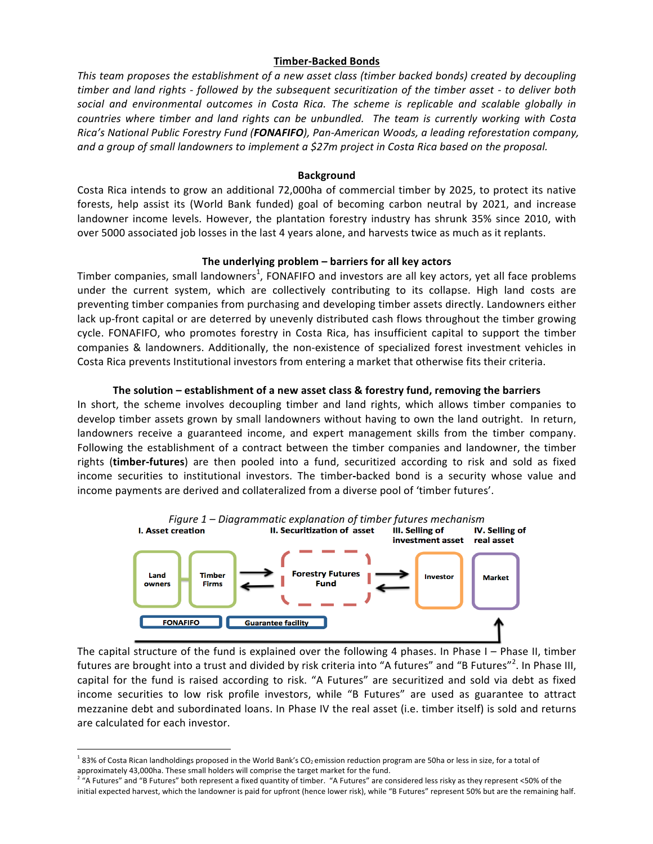# **Timber-Backed Bonds**

This team proposes the establishment of a new asset class (timber backed bonds) created by decoupling *timber and land rights - followed by the subsequent securitization of the timber asset - to deliver both*  social and environmental outcomes in Costa Rica. The scheme is replicable and scalable globally in *countries where timber and land rights can be unbundled. The team is currently working with Costa Rica's National Public Forestry Fund (FONAFIFO), Pan-American Woods, a leading reforestation company, and a group of small landowners to implement a \$27m project in Costa Rica based on the proposal.* 

#### **Background**

Costa Rica intends to grow an additional 72,000ha of commercial timber by 2025, to protect its native forests, help assist its (World Bank funded) goal of becoming carbon neutral by 2021, and increase landowner income levels. However, the plantation forestry industry has shrunk 35% since 2010, with over 5000 associated job losses in the last 4 years alone, and harvests twice as much as it replants.

# **The underlying problem – barriers for all key actors**

Timber companies, small landowners<sup>1</sup>, FONAFIFO and investors are all key actors, yet all face problems under the current system, which are collectively contributing to its collapse. High land costs are preventing timber companies from purchasing and developing timber assets directly. Landowners either lack up-front capital or are deterred by unevenly distributed cash flows throughout the timber growing cycle. FONAFIFO, who promotes forestry in Costa Rica, has insufficient capital to support the timber companies & landowners. Additionally, the non-existence of specialized forest investment vehicles in Costa Rica prevents Institutional investors from entering a market that otherwise fits their criteria.

# **The** solution – establishment of a new asset class & forestry fund, removing the barriers

In short, the scheme involves decoupling timber and land rights, which allows timber companies to develop timber assets grown by small landowners without having to own the land outright. In return, landowners receive a guaranteed income, and expert management skills from the timber company. Following the establishment of a contract between the timber companies and landowner, the timber rights (timber-futures) are then pooled into a fund, securitized according to risk and sold as fixed income securities to institutional investors. The timber-backed bond is a security whose value and income payments are derived and collateralized from a diverse pool of 'timber futures'.



The capital structure of the fund is explained over the following 4 phases. In Phase I – Phase II, timber futures are brought into a trust and divided by risk criteria into "A futures" and "B Futures"<sup>2</sup>. In Phase III, capital for the fund is raised according to risk. "A Futures" are securitized and sold via debt as fixed income securities to low risk profile investors, while "B Futures" are used as guarantee to attract mezzanine debt and subordinated loans. In Phase IV the real asset (i.e. timber itself) is sold and returns are calculated for each investor.

 

 $183\%$  of Costa Rican landholdings proposed in the World Bank's CO<sub>2</sub> emission reduction program are 50ha or less in size, for a total of approximately 43,000ha. These small holders will comprise the target market for the fund.

 $^2$  "A Futures" and "B Futures" both represent a fixed quantity of timber. "A Futures" are considered less risky as they represent <50% of the initial expected harvest, which the landowner is paid for upfront (hence lower risk), while "B Futures" represent 50% but are the remaining half.